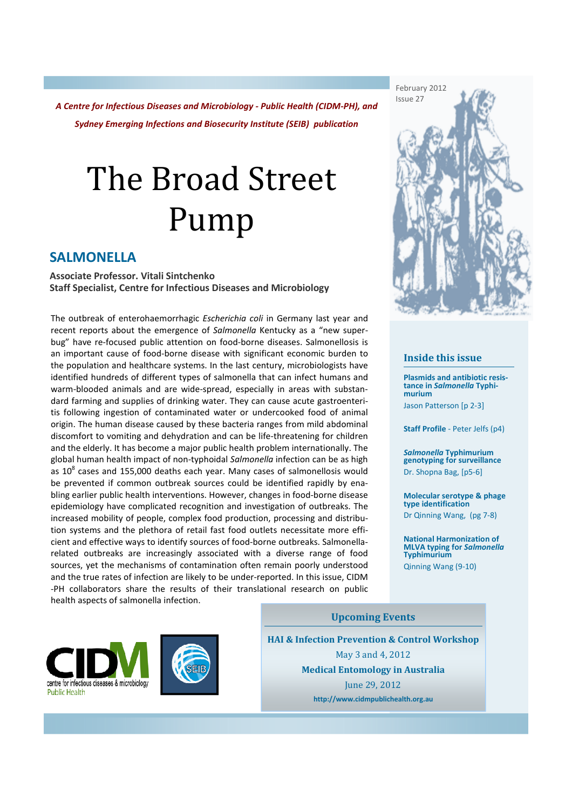A Centre for Infectious Diseases and Microbiology - Public Health (CIDM-PH), and Sydney Emerging Infections and Biosecurity Institute (SEIB) publication

# The Broad Street Pump

# SALMONELLA

Associate Professor. Vitali Sintchenko Staff Specialist, Centre for Infectious Diseases and Microbiology

The outbreak of enterohaemorrhagic Escherichia coli in Germany last year and recent reports about the emergence of Salmonella Kentucky as a "new superbug" have re-focused public attention on food-borne diseases. Salmonellosis is an important cause of food-borne disease with significant economic burden to the population and healthcare systems. In the last century, microbiologists have identified hundreds of different types of salmonella that can infect humans and warm-blooded animals and are wide-spread, especially in areas with substandard farming and supplies of drinking water. They can cause acute gastroenteritis following ingestion of contaminated water or undercooked food of animal origin. The human disease caused by these bacteria ranges from mild abdominal discomfort to vomiting and dehydration and can be life-threatening for children and the elderly. It has become a major public health problem internationally. The global human health impact of non-typhoidal Salmonella infection can be as high as  $10^8$  cases and 155,000 deaths each year. Many cases of salmonellosis would be prevented if common outbreak sources could be identified rapidly by enabling earlier public health interventions. However, changes in food-borne disease epidemiology have complicated recognition and investigation of outbreaks. The increased mobility of people, complex food production, processing and distribution systems and the plethora of retail fast food outlets necessitate more efficient and effective ways to identify sources of food-borne outbreaks. Salmonellarelated outbreaks are increasingly associated with a diverse range of food sources, yet the mechanisms of contamination often remain poorly understood and the true rates of infection are likely to be under-reported. In this issue, CIDM -PH collaborators share the results of their translational research on public health aspects of salmonella infection.



## Inside this issue

Plasmids and antibiotic resistance in Salmonella Typhimurium

Jason Patterson [p 2-3]

Staff Profile - Peter Jelfs (p4)

Salmonella Typhimurium genotyping for surveillance Dr. Shopna Bag, [p5-6]

Molecular serotype & phage type identification Dr Qinning Wang, (pg 7-8)

National Harmonization of MLVA typing for Salmonella **Typhimurium** 

Qinning Wang (9-10)





Upcoming Events

HAI & Infection Prevention & Control Workshop May 3 and 4, 2012 Medical Entomology in Australia June 29, 2012 http://www.cidmpublichealth.org.au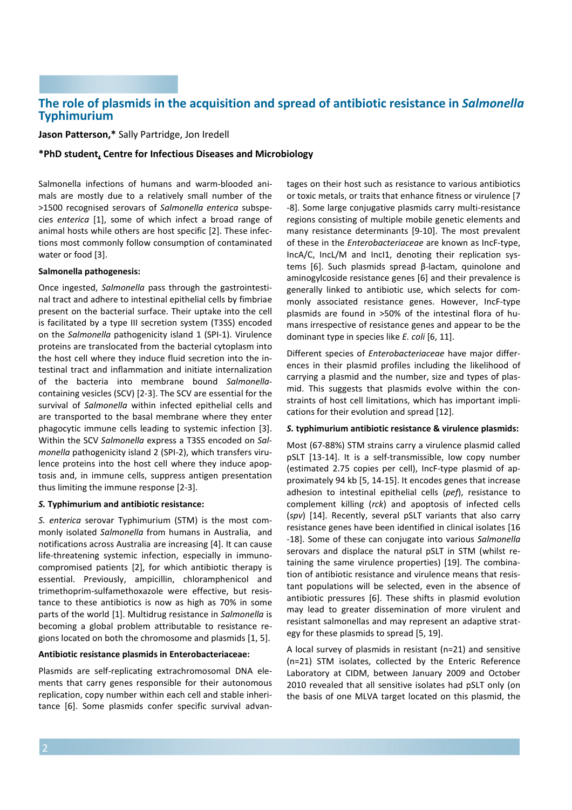## The role of plasmids in the acquisition and spread of antibiotic resistance in Salmonella Typhimurium

Jason Patterson,\* Sally Partridge, Jon Iredell

#### \*PhD student, Centre for Infectious Diseases and Microbiology

Salmonella infections of humans and warm-blooded animals are mostly due to a relatively small number of the >1500 recognised serovars of Salmonella enterica subspecies enterica [1], some of which infect a broad range of animal hosts while others are host specific [2]. These infections most commonly follow consumption of contaminated water or food [3].

#### Salmonella pathogenesis:

Once ingested, Salmonella pass through the gastrointestinal tract and adhere to intestinal epithelial cells by fimbriae present on the bacterial surface. Their uptake into the cell is facilitated by a type III secretion system (T3SS) encoded on the Salmonella pathogenicity island 1 (SPI-1). Virulence proteins are translocated from the bacterial cytoplasm into the host cell where they induce fluid secretion into the intestinal tract and inflammation and initiate internalization of the bacteria into membrane bound Salmonellacontaining vesicles (SCV) [2-3]. The SCV are essential for the survival of Salmonella within infected epithelial cells and are transported to the basal membrane where they enter phagocytic immune cells leading to systemic infection [3]. Within the SCV Salmonella express a T3SS encoded on Salmonella pathogenicity island 2 (SPI-2), which transfers virulence proteins into the host cell where they induce apoptosis and, in immune cells, suppress antigen presentation thus limiting the immune response [2-3].

#### S. Typhimurium and antibiotic resistance:

S. enterica serovar Typhimurium (STM) is the most commonly isolated Salmonella from humans in Australia, and notifications across Australia are increasing [4]. It can cause life-threatening systemic infection, especially in immunocompromised patients [2], for which antibiotic therapy is essential. Previously, ampicillin, chloramphenicol and trimethoprim-sulfamethoxazole were effective, but resistance to these antibiotics is now as high as 70% in some parts of the world [1]. Multidrug resistance in Salmonella is becoming a global problem attributable to resistance regions located on both the chromosome and plasmids [1, 5].

#### Antibiotic resistance plasmids in Enterobacteriaceae:

Plasmids are self-replicating extrachromosomal DNA elements that carry genes responsible for their autonomous replication, copy number within each cell and stable inheritance [6]. Some plasmids confer specific survival advantages on their host such as resistance to various antibiotics or toxic metals, or traits that enhance fitness or virulence [7 -8]. Some large conjugative plasmids carry multi-resistance regions consisting of multiple mobile genetic elements and many resistance determinants [9-10]. The most prevalent of these in the Enterobacteriaceae are known as IncF-type, IncA/C, IncL/M and IncI1, denoting their replication systems [6]. Such plasmids spread β-lactam, quinolone and aminogylcoside resistance genes [6] and their prevalence is generally linked to antibiotic use, which selects for commonly associated resistance genes. However, IncF-type plasmids are found in >50% of the intestinal flora of humans irrespective of resistance genes and appear to be the dominant type in species like E. coli [6, 11].

Different species of Enterobacteriaceae have major differences in their plasmid profiles including the likelihood of carrying a plasmid and the number, size and types of plasmid. This suggests that plasmids evolve within the constraints of host cell limitations, which has important implications for their evolution and spread [12].

#### S. typhimurium antibiotic resistance & virulence plasmids:

Most (67-88%) STM strains carry a virulence plasmid called pSLT [13-14]. It is a self-transmissible, low copy number (estimated 2.75 copies per cell), IncF-type plasmid of approximately 94 kb [5, 14-15]. It encodes genes that increase adhesion to intestinal epithelial cells (pef), resistance to complement killing (rck) and apoptosis of infected cells (spv) [14]. Recently, several pSLT variants that also carry resistance genes have been identified in clinical isolates [16 -18]. Some of these can conjugate into various Salmonella serovars and displace the natural pSLT in STM (whilst retaining the same virulence properties) [19]. The combination of antibiotic resistance and virulence means that resistant populations will be selected, even in the absence of antibiotic pressures [6]. These shifts in plasmid evolution may lead to greater dissemination of more virulent and resistant salmonellas and may represent an adaptive strategy for these plasmids to spread [5, 19].

A local survey of plasmids in resistant (n=21) and sensitive (n=21) STM isolates, collected by the Enteric Reference Laboratory at CIDM, between January 2009 and October 2010 revealed that all sensitive isolates had pSLT only (on the basis of one MLVA target located on this plasmid, the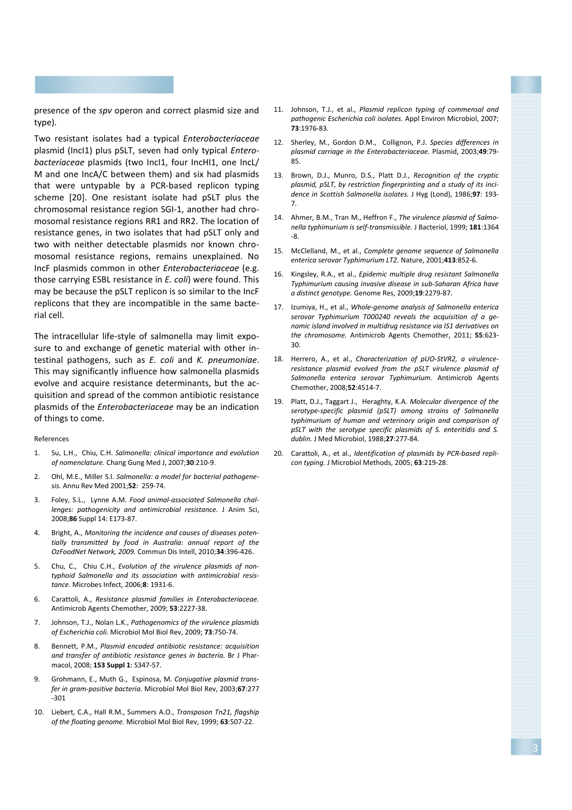presence of the spv operon and correct plasmid size and type).

Two resistant isolates had a typical Enterobacteriaceae plasmid (IncI1) plus pSLT, seven had only typical Enterobacteriaceae plasmids (two IncI1, four IncHI1, one IncL/ M and one IncA/C between them) and six had plasmids that were untypable by a PCR-based replicon typing scheme [20]. One resistant isolate had pSLT plus the chromosomal resistance region SGI-1, another had chromosomal resistance regions RR1 and RR2. The location of resistance genes, in two isolates that had pSLT only and two with neither detectable plasmids nor known chromosomal resistance regions, remains unexplained. No IncF plasmids common in other Enterobacteriaceae (e.g. those carrying ESBL resistance in E. coli) were found. This may be because the pSLT replicon is so similar to the IncF replicons that they are incompatible in the same bacterial cell.

The intracellular life-style of salmonella may limit exposure to and exchange of genetic material with other intestinal pathogens, such as E. coli and K. pneumoniae. This may significantly influence how salmonella plasmids evolve and acquire resistance determinants, but the acquisition and spread of the common antibiotic resistance plasmids of the Enterobacteriaceae may be an indication of things to come.

#### References

- 1. Su, L.H., Chiu, C.H. Salmonella: clinical importance and evolution of nomenclature. Chang Gung Med J, 2007;30:210-9.
- 2. Ohl, M.E., Miller S.I. Salmonella: a model for bacterial pathogenesis. Annu Rev Med 2001;52: 259-74.
- 3. Foley, S.L., Lynne A.M. Food animal-associated Salmonella challenges: pathogenicity and antimicrobial resistance. J Anim Sci, 2008;86 Suppl 14: E173-87.
- 4. Bright, A., Monitoring the incidence and causes of diseases potentially transmitted by food in Australia: annual report of the OzFoodNet Network, 2009. Commun Dis Intell, 2010;34:396-426.
- 5. Chu, C., Chiu C.H., Evolution of the virulence plasmids of nontyphoid Salmonella and its association with antimicrobial resistance. Microbes Infect, 2006;8: 1931-6.
- 6. Carattoli, A., Resistance plasmid families in Enterobacteriaceae. Antimicrob Agents Chemother, 2009; 53:2227-38.
- 7. Johnson, T.J., Nolan L.K., Pathogenomics of the virulence plasmids of Escherichia coli. Microbiol Mol Biol Rev, 2009; 73:750-74.
- 8. Bennett, P.M., Plasmid encoded antibiotic resistance: acquisition and transfer of antibiotic resistance genes in bacteria. Br J Pharmacol, 2008; 153 Suppl 1: S347-57.
- 9. Grohmann, E., Muth G., Espinosa, M. Conjugative plasmid transfer in gram-positive bacteria. Microbiol Mol Biol Rev, 2003;67:277 -301
- 10. Liebert, C.A., Hall R.M., Summers A.O., Transposon Tn21, flagship of the floating genome. Microbiol Mol Biol Rev, 1999; 63:507-22.
- 11. Johnson, T.J., et al., Plasmid replicon typing of commensal and pathogenic Escherichia coli isolates. Appl Environ Microbiol, 2007; 73:1976-83.
- 12. Sherley, M., Gordon D.M., Collignon, P.J. Species differences in plasmid carriage in the Enterobacteriaceae. Plasmid, 2003;49:79- 85.
- 13. Brown, D.J., Munro, D.S., Platt D.J., Recognition of the cryptic plasmid, pSLT, by restriction fingerprinting and a study of its incidence in Scottish Salmonella isolates. J Hyg (Lond), 1986;97: 193- 7.
- 14. Ahmer, B.M., Tran M., Heffron F., The virulence plasmid of Salmonella typhimurium is self-transmissible. J Bacteriol, 1999; 181:1364 -8.
- 15. McClelland, M., et al., Complete genome sequence of Salmonella enterica serovar Typhimurium LT2. Nature, 2001;413:852-6.
- 16. Kingsley, R.A., et al., Epidemic multiple drug resistant Salmonella Typhimurium causing invasive disease in sub-Saharan Africa have a distinct genotype. Genome Res, 2009;19:2279-87.
- 17. Izumiya, H., et al., Whole-genome analysis of Salmonella enterica serovar Typhimurium T000240 reveals the acquisition of a genomic island involved in multidrug resistance via IS1 derivatives on the chromosome. Antimicrob Agents Chemother, 2011; 55:623- 30.
- 18. Herrero, A., et al., Characterization of pUO-StVR2, a virulenceresistance plasmid evolved from the pSLT virulence plasmid of Salmonella enterica serovar Typhimurium. Antimicrob Agents Chemother, 2008;52:4514-7.
- 19. Platt, D.J., Taggart J., Heraghty, K.A. Molecular divergence of the serotype-specific plasmid (pSLT) among strains of Salmonella typhimurium of human and veterinary origin and comparison of pSLT with the serotype specific plasmids of S. enteritidis and S. dublin. J Med Microbiol, 1988;27:277-84.
- 20. Carattoli, A., et al., Identification of plasmids by PCR-based replicon typing. J Microbiol Methods, 2005; 63:219-28.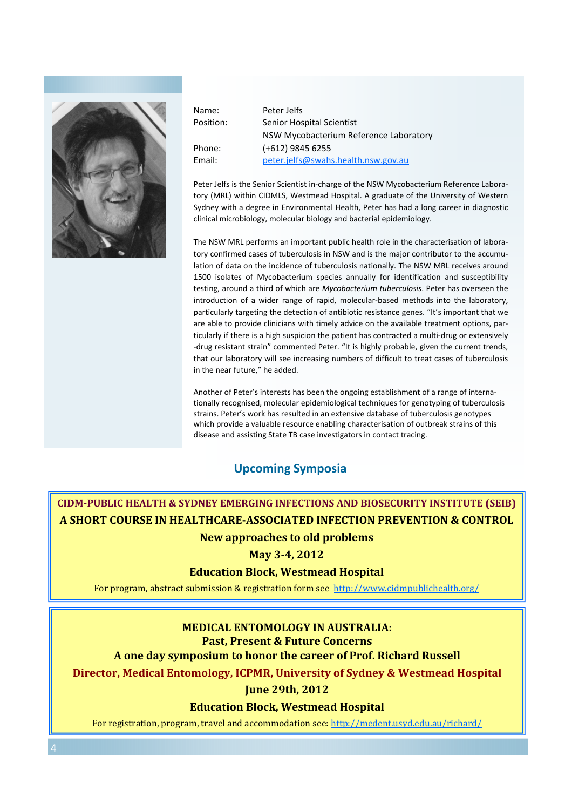

| Peter Jelfs                            |
|----------------------------------------|
| <b>Senior Hospital Scientist</b>       |
| NSW Mycobacterium Reference Laboratory |
| $(+612)$ 9845 6255                     |
| peter.jelfs@swahs.health.nsw.gov.au    |
|                                        |

Peter Jelfs is the Senior Scientist in-charge of the NSW Mycobacterium Reference Laboratory (MRL) within CIDMLS, Westmead Hospital. A graduate of the University of Western Sydney with a degree in Environmental Health, Peter has had a long career in diagnostic clinical microbiology, molecular biology and bacterial epidemiology.

The NSW MRL performs an important public health role in the characterisation of laboratory confirmed cases of tuberculosis in NSW and is the major contributor to the accumulation of data on the incidence of tuberculosis nationally. The NSW MRL receives around 1500 isolates of Mycobacterium species annually for identification and susceptibility testing, around a third of which are Mycobacterium tuberculosis. Peter has overseen the introduction of a wider range of rapid, molecular-based methods into the laboratory, particularly targeting the detection of antibiotic resistance genes. "It's important that we are able to provide clinicians with timely advice on the available treatment options, particularly if there is a high suspicion the patient has contracted a multi-drug or extensively -drug resistant strain" commented Peter. "It is highly probable, given the current trends, that our laboratory will see increasing numbers of difficult to treat cases of tuberculosis in the near future," he added.

Another of Peter's interests has been the ongoing establishment of a range of internationally recognised, molecular epidemiological techniques for genotyping of tuberculosis strains. Peter's work has resulted in an extensive database of tuberculosis genotypes which provide a valuable resource enabling characterisation of outbreak strains of this disease and assisting State TB case investigators in contact tracing.

# Upcoming Symposia

# CIDM-PUBLIC HEALTH & SYDNEY EMERGING INFECTIONS AND BIOSECURITY INSTITUTE (SEIB) A SHORT COURSE IN HEALTHCARE-ASSOCIATED INFECTION PREVENTION & CONTROL New approaches to old problems

May 3-4, 2012

Education Block, Westmead Hospital

For program, abstract submission & registration form see http://www.cidmpublichealth.org/

## MEDICAL ENTOMOLOGY IN AUSTRALIA: Past, Present & Future Concerns

A one day symposium to honor the career of Prof. Richard Russell

Director, Medical Entomology, ICPMR, University of Sydney & Westmead Hospital

## June 29th, 2012

## Education Block, Westmead Hospital

For registration, program, travel and accommodation see: http://medent.usyd.edu.au/richard/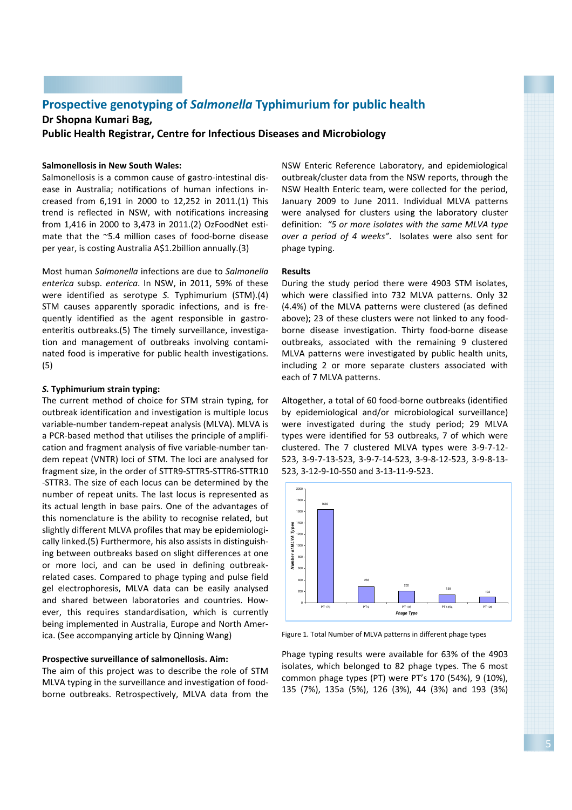# Prospective genotyping of Salmonella Typhimurium for public health

## Dr Shopna Kumari Bag, Public Health Registrar, Centre for Infectious Diseases and Microbiology

#### Salmonellosis in New South Wales:

Salmonellosis is a common cause of gastro-intestinal disease in Australia; notifications of human infections increased from 6,191 in 2000 to 12,252 in 2011.(1) This trend is reflected in NSW, with notifications increasing from 1,416 in 2000 to 3,473 in 2011.(2) OzFoodNet estimate that the ~5.4 million cases of food-borne disease per year, is costing Australia A\$1.2billion annually.(3)

Most human Salmonella infections are due to Salmonella enterica subsp. enterica. In NSW, in 2011, 59% of these were identified as serotype S. Typhimurium (STM).(4) STM causes apparently sporadic infections, and is frequently identified as the agent responsible in gastroenteritis outbreaks.(5) The timely surveillance, investigation and management of outbreaks involving contaminated food is imperative for public health investigations. (5)

#### S. Typhimurium strain typing:

The current method of choice for STM strain typing, for outbreak identification and investigation is multiple locus variable-number tandem-repeat analysis (MLVA). MLVA is a PCR-based method that utilises the principle of amplification and fragment analysis of five variable-number tandem repeat (VNTR) loci of STM. The loci are analysed for fragment size, in the order of STTR9-STTR5-STTR6-STTR10 -STTR3. The size of each locus can be determined by the number of repeat units. The last locus is represented as its actual length in base pairs. One of the advantages of this nomenclature is the ability to recognise related, but slightly different MLVA profiles that may be epidemiologically linked.(5) Furthermore, his also assists in distinguishing between outbreaks based on slight differences at one or more loci, and can be used in defining outbreakrelated cases. Compared to phage typing and pulse field gel electrophoresis, MLVA data can be easily analysed and shared between laboratories and countries. However, this requires standardisation, which is currently being implemented in Australia, Europe and North America. (See accompanying article by Qinning Wang)

#### Prospective surveillance of salmonellosis. Aim:

The aim of this project was to describe the role of STM MLVA typing in the surveillance and investigation of foodborne outbreaks. Retrospectively, MLVA data from the

NSW Enteric Reference Laboratory, and epidemiological outbreak/cluster data from the NSW reports, through the NSW Health Enteric team, were collected for the period, January 2009 to June 2011. Individual MLVA patterns were analysed for clusters using the laboratory cluster definition: "5 or more isolates with the same MLVA type over a period of 4 weeks". Isolates were also sent for phage typing.

#### Results

During the study period there were 4903 STM isolates, which were classified into 732 MLVA patterns. Only 32 (4.4%) of the MLVA patterns were clustered (as defined above); 23 of these clusters were not linked to any foodborne disease investigation. Thirty food-borne disease outbreaks, associated with the remaining 9 clustered MLVA patterns were investigated by public health units, including 2 or more separate clusters associated with each of 7 MLVA patterns.

Altogether, a total of 60 food-borne outbreaks (identified by epidemiological and/or microbiological surveillance) were investigated during the study period; 29 MLVA types were identified for 53 outbreaks, 7 of which were clustered. The 7 clustered MLVA types were 3-9-7-12- 523, 3-9-7-13-523, 3-9-7-14-523, 3-9-8-12-523, 3-9-8-13- 523, 3-12-9-10-550 and 3-13-11-9-523.



Figure 1. Total Number of MLVA patterns in different phage types

Phage typing results were available for 63% of the 4903 isolates, which belonged to 82 phage types. The 6 most common phage types (PT) were PT's 170 (54%), 9 (10%), 135 (7%), 135a (5%), 126 (3%), 44 (3%) and 193 (3%)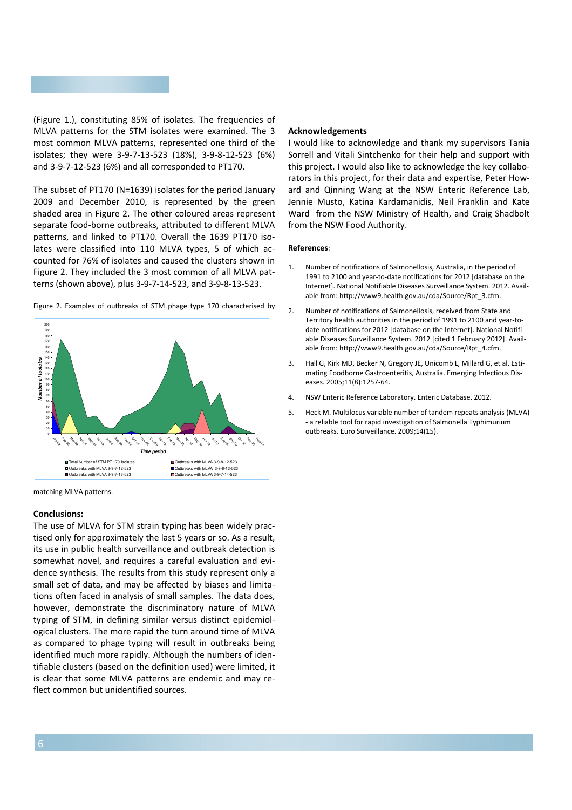

(Figure 1.), constituting 85% of isolates. The frequencies of MLVA patterns for the STM isolates were examined. The 3 most common MLVA patterns, represented one third of the isolates; they were 3-9-7-13-523 (18%), 3-9-8-12-523 (6%) and 3-9-7-12-523 (6%) and all corresponded to PT170.

The subset of PT170 (N=1639) isolates for the period January 2009 and December 2010, is represented by the green shaded area in Figure 2. The other coloured areas represent separate food-borne outbreaks, attributed to different MLVA patterns, and linked to PT170. Overall the 1639 PT170 isolates were classified into 110 MLVA types, 5 of which accounted for 76% of isolates and caused the clusters shown in Figure 2. They included the 3 most common of all MLVA patterns (shown above), plus 3-9-7-14-523, and 3-9-8-13-523.



Figure 2. Examples of outbreaks of STM phage type 170 characterised by

#### matching MLVA patterns.

#### Conclusions:

The use of MLVA for STM strain typing has been widely practised only for approximately the last 5 years or so. As a result, its use in public health surveillance and outbreak detection is somewhat novel, and requires a careful evaluation and evidence synthesis. The results from this study represent only a small set of data, and may be affected by biases and limitations often faced in analysis of small samples. The data does, however, demonstrate the discriminatory nature of MLVA typing of STM, in defining similar versus distinct epidemiological clusters. The more rapid the turn around time of MLVA as compared to phage typing will result in outbreaks being identified much more rapidly. Although the numbers of identifiable clusters (based on the definition used) were limited, it is clear that some MLVA patterns are endemic and may reflect common but unidentified sources.

#### Acknowledgements

I would like to acknowledge and thank my supervisors Tania Sorrell and Vitali Sintchenko for their help and support with this project. I would also like to acknowledge the key collaborators in this project, for their data and expertise, Peter Howard and Qinning Wang at the NSW Enteric Reference Lab, Jennie Musto, Katina Kardamanidis, Neil Franklin and Kate Ward from the NSW Ministry of Health, and Craig Shadbolt from the NSW Food Authority.

#### References:

- 1. Number of notifications of Salmonellosis, Australia, in the period of 1991 to 2100 and year-to-date notifications for 2012 [database on the Internet]. National Notifiable Diseases Surveillance System. 2012. Available from: http://www9.health.gov.au/cda/Source/Rpt\_3.cfm.
- 2. Number of notifications of Salmonellosis, received from State and Territory health authorities in the period of 1991 to 2100 and year-todate notifications for 2012 [database on the Internet]. National Notifiable Diseases Surveillance System. 2012 [cited 1 February 2012]. Available from: http://www9.health.gov.au/cda/Source/Rpt\_4.cfm.
- 3. Hall G, Kirk MD, Becker N, Gregory JE, Unicomb L, Millard G, et al. Estimating Foodborne Gastroenteritis, Australia. Emerging Infectious Diseases. 2005;11(8):1257-64.
- 4. NSW Enteric Reference Laboratory. Enteric Database. 2012.
- 5. Heck M. Multilocus variable number of tandem repeats analysis (MLVA) - a reliable tool for rapid investigation of Salmonella Typhimurium outbreaks. Euro Surveillance. 2009;14(15).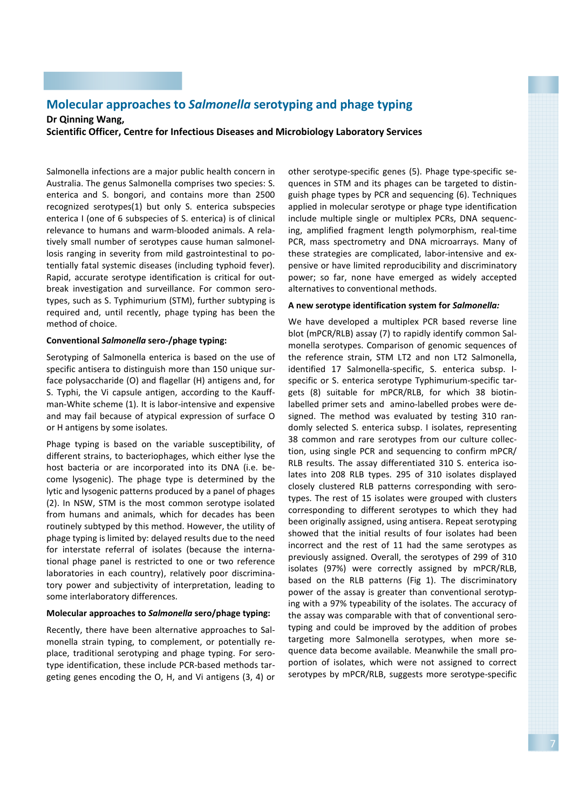## Molecular approaches to Salmonella serotyping and phage typing

#### Dr Qinning Wang,

Scientific Officer, Centre for Infectious Diseases and Microbiology Laboratory Services

Salmonella infections are a major public health concern in Australia. The genus Salmonella comprises two species: S. enterica and S. bongori, and contains more than 2500 recognized serotypes(1) but only S. enterica subspecies enterica I (one of 6 subspecies of S. enterica) is of clinical relevance to humans and warm-blooded animals. A relatively small number of serotypes cause human salmonellosis ranging in severity from mild gastrointestinal to potentially fatal systemic diseases (including typhoid fever). Rapid, accurate serotype identification is critical for outbreak investigation and surveillance. For common serotypes, such as S. Typhimurium (STM), further subtyping is required and, until recently, phage typing has been the method of choice.

#### Conventional Salmonella sero-/phage typing:

Serotyping of Salmonella enterica is based on the use of specific antisera to distinguish more than 150 unique surface polysaccharide (O) and flagellar (H) antigens and, for S. Typhi, the Vi capsule antigen, according to the Kauffman-White scheme (1). It is labor-intensive and expensive and may fail because of atypical expression of surface O or H antigens by some isolates.

Phage typing is based on the variable susceptibility, of different strains, to bacteriophages, which either lyse the host bacteria or are incorporated into its DNA (i.e. become lysogenic). The phage type is determined by the lytic and lysogenic patterns produced by a panel of phages (2). In NSW, STM is the most common serotype isolated from humans and animals, which for decades has been routinely subtyped by this method. However, the utility of phage typing is limited by: delayed results due to the need for interstate referral of isolates (because the international phage panel is restricted to one or two reference laboratories in each country), relatively poor discriminatory power and subjectivity of interpretation, leading to some interlaboratory differences.

#### Molecular approaches to Salmonella sero/phage typing:

Recently, there have been alternative approaches to Salmonella strain typing, to complement, or potentially replace, traditional serotyping and phage typing. For serotype identification, these include PCR-based methods targeting genes encoding the O, H, and Vi antigens (3, 4) or other serotype-specific genes (5). Phage type-specific sequences in STM and its phages can be targeted to distinguish phage types by PCR and sequencing (6). Techniques applied in molecular serotype or phage type identification include multiple single or multiplex PCRs, DNA sequencing, amplified fragment length polymorphism, real-time PCR, mass spectrometry and DNA microarrays. Many of these strategies are complicated, labor-intensive and expensive or have limited reproducibility and discriminatory power; so far, none have emerged as widely accepted alternatives to conventional methods.

#### A new serotype identification system for Salmonella:

We have developed a multiplex PCR based reverse line blot (mPCR/RLB) assay (7) to rapidly identify common Salmonella serotypes. Comparison of genomic sequences of the reference strain, STM LT2 and non LT2 Salmonella, identified 17 Salmonella-specific, S. enterica subsp. Ispecific or S. enterica serotype Typhimurium-specific targets (8) suitable for mPCR/RLB, for which 38 biotinlabelled primer sets and amino-labelled probes were designed. The method was evaluated by testing 310 randomly selected S. enterica subsp. I isolates, representing 38 common and rare serotypes from our culture collection, using single PCR and sequencing to confirm mPCR/ RLB results. The assay differentiated 310 S. enterica isolates into 208 RLB types. 295 of 310 isolates displayed closely clustered RLB patterns corresponding with serotypes. The rest of 15 isolates were grouped with clusters corresponding to different serotypes to which they had been originally assigned, using antisera. Repeat serotyping showed that the initial results of four isolates had been incorrect and the rest of 11 had the same serotypes as previously assigned. Overall, the serotypes of 299 of 310 isolates (97%) were correctly assigned by mPCR/RLB, based on the RLB patterns (Fig 1). The discriminatory power of the assay is greater than conventional serotyping with a 97% typeability of the isolates. The accuracy of the assay was comparable with that of conventional serotyping and could be improved by the addition of probes targeting more Salmonella serotypes, when more sequence data become available. Meanwhile the small proportion of isolates, which were not assigned to correct serotypes by mPCR/RLB, suggests more serotype-specific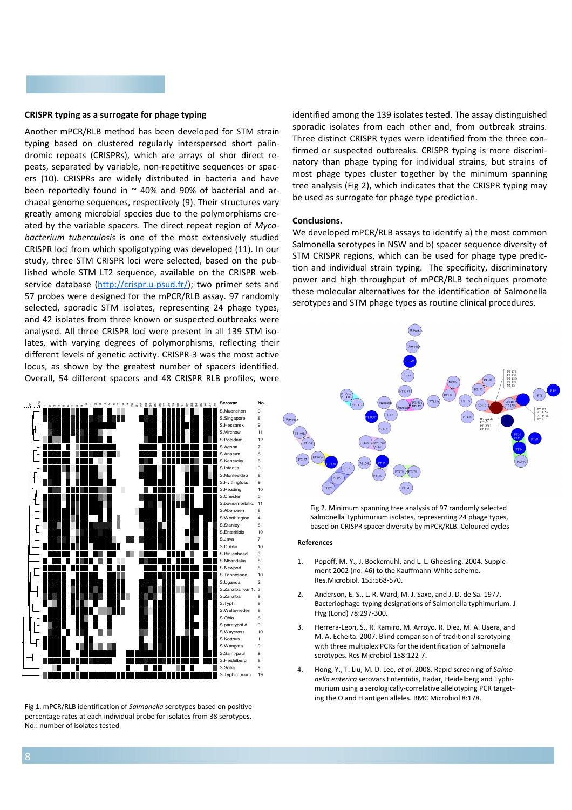#### CRISPR typing as a surrogate for phage typing

Another mPCR/RLB method has been developed for STM strain typing based on clustered regularly interspersed short palindromic repeats (CRISPRs), which are arrays of shor direct repeats, separated by variable, non-repetitive sequences or spacers (10). CRISPRs are widely distributed in bacteria and have been reportedly found in  $\sim$  40% and 90% of bacterial and archaeal genome sequences, respectively (9). Their structures vary greatly among microbial species due to the polymorphisms created by the variable spacers. The direct repeat region of Mycobacterium tuberculosis is one of the most extensively studied CRISPR loci from which spoligotyping was developed (11). In our study, three STM CRISPR loci were selected, based on the published whole STM LT2 sequence, available on the CRISPR webservice database (http://crispr.u-psud.fr/); two primer sets and 57 probes were designed for the mPCR/RLB assay. 97 randomly selected, sporadic STM isolates, representing 24 phage types, and 42 isolates from three known or suspected outbreaks were analysed. All three CRISPR loci were present in all 139 STM isolates, with varying degrees of polymorphisms, reflecting their different levels of genetic activity. CRISPR-3 was the most active locus, as shown by the greatest number of spacers identified. Overall, 54 different spacers and 48 CRISPR RLB profiles, were



Fig 1. mPCR/RLB identification of Salmonella serotypes based on positive percentage rates at each individual probe for isolates from 38 serotypes. No.: number of isolates tested

identified among the 139 isolates tested. The assay distinguished sporadic isolates from each other and, from outbreak strains. Three distinct CRISPR types were identified from the three confirmed or suspected outbreaks. CRISPR typing is more discriminatory than phage typing for individual strains, but strains of most phage types cluster together by the minimum spanning tree analysis (Fig 2), which indicates that the CRISPR typing may be used as surrogate for phage type prediction.

#### Conclusions.

We developed mPCR/RLB assays to identify a) the most common Salmonella serotypes in NSW and b) spacer sequence diversity of STM CRISPR regions, which can be used for phage type prediction and individual strain typing. The specificity, discriminatory power and high throughput of mPCR/RLB techniques promote these molecular alternatives for the identification of Salmonella serotypes and STM phage types as routine clinical procedures.



Fig 2. Minimum spanning tree analysis of 97 randomly selected Salmonella Typhimurium isolates, representing 24 phage types, based on CRISPR spacer diversity by mPCR/RLB. Coloured cycles

#### References

- 1. Popoff, M. Y., J. Bockemuhl, and L. L. Gheesling. 2004. Supplement 2002 (no. 46) to the Kauffmann-White scheme. Res.Microbiol. 155:568-570.
- 2. Anderson, E. S., L. R. Ward, M. J. Saxe, and J. D. de Sa. 1977. Bacteriophage-typing designations of Salmonella typhimurium. J Hyg (Lond) 78:297-300.
- 3. Herrera-Leon, S., R. Ramiro, M. Arroyo, R. Diez, M. A. Usera, and M. A. Echeita. 2007. Blind comparison of traditional serotyping with three multiplex PCRs for the identification of Salmonella serotypes. Res Microbiol 158:122-7.
- 4. Hong, Y., T. Liu, M. D. Lee, et al. 2008. Rapid screening of Salmonella enterica serovars Enteritidis, Hadar, Heidelberg and Typhimurium using a serologically-correlative allelotyping PCR targeting the O and H antigen alleles. BMC Microbiol 8:178.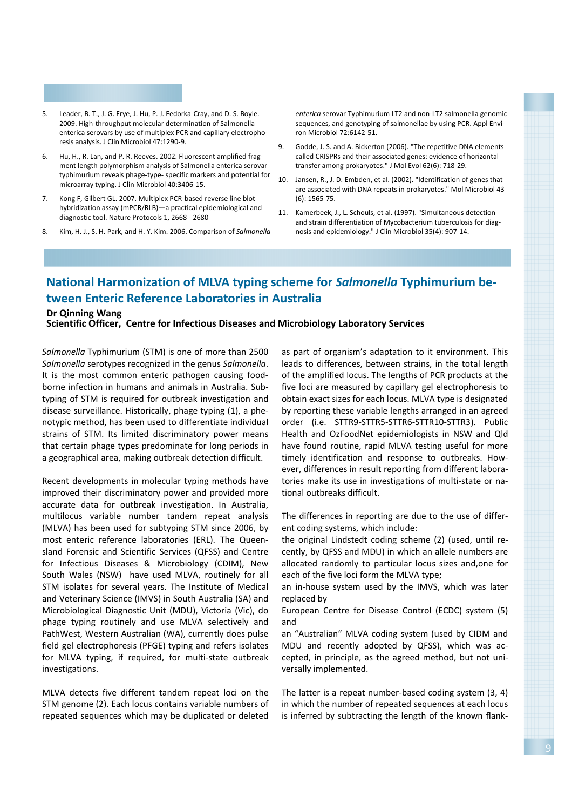- 5. Leader, B. T., J. G. Frye, J. Hu, P. J. Fedorka-Cray, and D. S. Boyle. 2009. High-throughput molecular determination of Salmonella enterica serovars by use of multiplex PCR and capillary electrophoresis analysis. J Clin Microbiol 47:1290-9.
- 6. Hu, H., R. Lan, and P. R. Reeves. 2002. Fluorescent amplified fragment length polymorphism analysis of Salmonella enterica serovar typhimurium reveals phage-type- specific markers and potential for microarray typing. J Clin Microbiol 40:3406-15.
- 7. Kong F, Gilbert GL. 2007. Multiplex PCR-based reverse line blot hybridization assay (mPCR/RLB)—a practical epidemiological and diagnostic tool. Nature Protocols 1, 2668 - 2680
- 8. Kim, H. J., S. H. Park, and H. Y. Kim. 2006. Comparison of Salmonella

enterica serovar Typhimurium LT2 and non-LT2 salmonella genomic sequences, and genotyping of salmonellae by using PCR. Appl Environ Microbiol 72:6142-51.

- 9. Godde, J. S. and A. Bickerton (2006). "The repetitive DNA elements called CRISPRs and their associated genes: evidence of horizontal transfer among prokaryotes." J Mol Evol 62(6): 718-29.
- 10. Jansen, R., J. D. Embden, et al. (2002). "Identification of genes that are associated with DNA repeats in prokaryotes." Mol Microbiol 43 (6): 1565-75.
- 11. Kamerbeek, J., L. Schouls, et al. (1997). "Simultaneous detection and strain differentiation of Mycobacterium tuberculosis for diagnosis and epidemiology." J Clin Microbiol 35(4): 907-14.

# National Harmonization of MLVA typing scheme for Salmonella Typhimurium between Enteric Reference Laboratories in Australia

# Dr Qinning Wang

Scientific Officer, Centre for Infectious Diseases and Microbiology Laboratory Services

Salmonella Typhimurium (STM) is one of more than 2500 Salmonella serotypes recognized in the genus Salmonella. It is the most common enteric pathogen causing foodborne infection in humans and animals in Australia. Subtyping of STM is required for outbreak investigation and disease surveillance. Historically, phage typing (1), a phenotypic method, has been used to differentiate individual strains of STM. Its limited discriminatory power means that certain phage types predominate for long periods in a geographical area, making outbreak detection difficult.

Recent developments in molecular typing methods have improved their discriminatory power and provided more accurate data for outbreak investigation. In Australia, multilocus variable number tandem repeat analysis (MLVA) has been used for subtyping STM since 2006, by most enteric reference laboratories (ERL). The Queensland Forensic and Scientific Services (QFSS) and Centre for Infectious Diseases & Microbiology (CDIM), New South Wales (NSW) have used MLVA, routinely for all STM isolates for several years. The Institute of Medical and Veterinary Science (IMVS) in South Australia (SA) and Microbiological Diagnostic Unit (MDU), Victoria (Vic), do phage typing routinely and use MLVA selectively and PathWest, Western Australian (WA), currently does pulse field gel electrophoresis (PFGE) typing and refers isolates for MLVA typing, if required, for multi-state outbreak investigations.

MLVA detects five different tandem repeat loci on the STM genome (2). Each locus contains variable numbers of repeated sequences which may be duplicated or deleted

as part of organism's adaptation to it environment. This leads to differences, between strains, in the total length of the amplified locus. The lengths of PCR products at the five loci are measured by capillary gel electrophoresis to obtain exact sizes for each locus. MLVA type is designated by reporting these variable lengths arranged in an agreed order (i.e. STTR9-STTR5-STTR6-STTR10-STTR3). Public Health and OzFoodNet epidemiologists in NSW and Qld have found routine, rapid MLVA testing useful for more timely identification and response to outbreaks. However, differences in result reporting from different laboratories make its use in investigations of multi-state or national outbreaks difficult.

The differences in reporting are due to the use of different coding systems, which include:

the original Lindstedt coding scheme (2) (used, until recently, by QFSS and MDU) in which an allele numbers are allocated randomly to particular locus sizes and,one for each of the five loci form the MLVA type;

an in-house system used by the IMVS, which was later replaced by

European Centre for Disease Control (ECDC) system (5) and

an "Australian" MLVA coding system (used by CIDM and MDU and recently adopted by QFSS), which was accepted, in principle, as the agreed method, but not universally implemented.

The latter is a repeat number-based coding system (3, 4) in which the number of repeated sequences at each locus is inferred by subtracting the length of the known flank